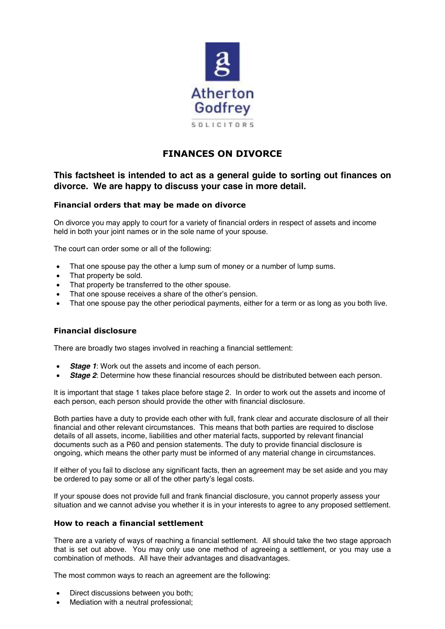

# **FINANCES ON DIVORCE**

# **This factsheet is intended to act as a general guide to sorting out finances on divorce. We are happy to discuss your case in more detail.**

# **Financial orders that may be made on divorce**

On divorce you may apply to court for a variety of financial orders in respect of assets and income held in both your joint names or in the sole name of your spouse.

The court can order some or all of the following:

- That one spouse pay the other a lump sum of money or a number of lump sums.
- That property be sold.
- That property be transferred to the other spouse.
- That one spouse receives a share of the other's pension.
- That one spouse pay the other periodical payments, either for a term or as long as you both live.

# **Financial disclosure**

There are broadly two stages involved in reaching a financial settlement:

- *Stage 1*: Work out the assets and income of each person.
- **Stage 2:** Determine how these financial resources should be distributed between each person.

It is important that stage 1 takes place before stage 2. In order to work out the assets and income of each person, each person should provide the other with financial disclosure.

Both parties have a duty to provide each other with full, frank clear and accurate disclosure of all their financial and other relevant circumstances. This means that both parties are required to disclose details of all assets, income, liabilities and other material facts, supported by relevant financial documents such as a P60 and pension statements. The duty to provide financial disclosure is ongoing, which means the other party must be informed of any material change in circumstances.

If either of you fail to disclose any significant facts, then an agreement may be set aside and you may be ordered to pay some or all of the other party's legal costs.

If your spouse does not provide full and frank financial disclosure, you cannot properly assess your situation and we cannot advise you whether it is in your interests to agree to any proposed settlement.

# **How to reach a financial settlement**

There are a variety of ways of reaching a financial settlement. All should take the two stage approach that is set out above. You may only use one method of agreeing a settlement, or you may use a combination of methods. All have their advantages and disadvantages.

The most common ways to reach an agreement are the following:

- Direct discussions between you both;
- Mediation with a neutral professional: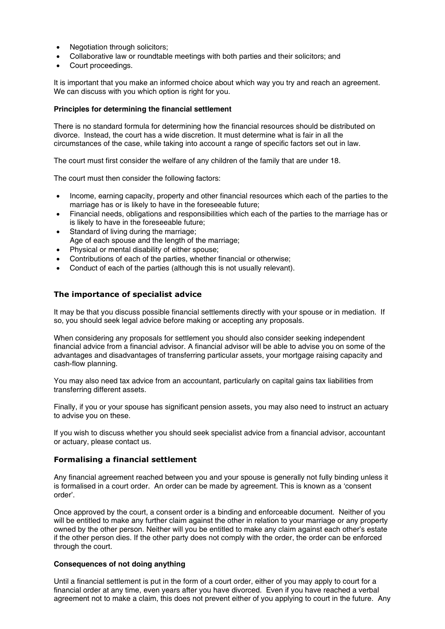- Negotiation through solicitors;
- Collaborative law or roundtable meetings with both parties and their solicitors; and
- Court proceedings.

It is important that you make an informed choice about which way you try and reach an agreement. We can discuss with you which option is right for you.

#### **Principles for determining the financial settlement**

There is no standard formula for determining how the financial resources should be distributed on divorce. Instead, the court has a wide discretion. It must determine what is fair in all the circumstances of the case, while taking into account a range of specific factors set out in law.

The court must first consider the welfare of any children of the family that are under 18.

The court must then consider the following factors:

- Income, earning capacity, property and other financial resources which each of the parties to the marriage has or is likely to have in the foreseeable future;
- Financial needs, obligations and responsibilities which each of the parties to the marriage has or is likely to have in the foreseeable future;
- Standard of living during the marriage;
- Age of each spouse and the length of the marriage;
- Physical or mental disability of either spouse;
- Contributions of each of the parties, whether financial or otherwise;
- Conduct of each of the parties (although this is not usually relevant).

# **The importance of specialist advice**

It may be that you discuss possible financial settlements directly with your spouse or in mediation. If so, you should seek legal advice before making or accepting any proposals.

When considering any proposals for settlement you should also consider seeking independent financial advice from a financial advisor. A financial advisor will be able to advise you on some of the advantages and disadvantages of transferring particular assets, your mortgage raising capacity and cash-flow planning.

You may also need tax advice from an accountant, particularly on capital gains tax liabilities from transferring different assets.

Finally, if you or your spouse has significant pension assets, you may also need to instruct an actuary to advise you on these.

If you wish to discuss whether you should seek specialist advice from a financial advisor, accountant or actuary, please contact us.

#### **Formalising a financial settlement**

Any financial agreement reached between you and your spouse is generally not fully binding unless it is formalised in a court order. An order can be made by agreement. This is known as a 'consent order'.

Once approved by the court, a consent order is a binding and enforceable document. Neither of you will be entitled to make any further claim against the other in relation to your marriage or any property owned by the other person. Neither will you be entitled to make any claim against each other's estate if the other person dies. If the other party does not comply with the order, the order can be enforced through the court.

#### **Consequences of not doing anything**

Until a financial settlement is put in the form of a court order, either of you may apply to court for a financial order at any time, even years after you have divorced. Even if you have reached a verbal agreement not to make a claim, this does not prevent either of you applying to court in the future. Any